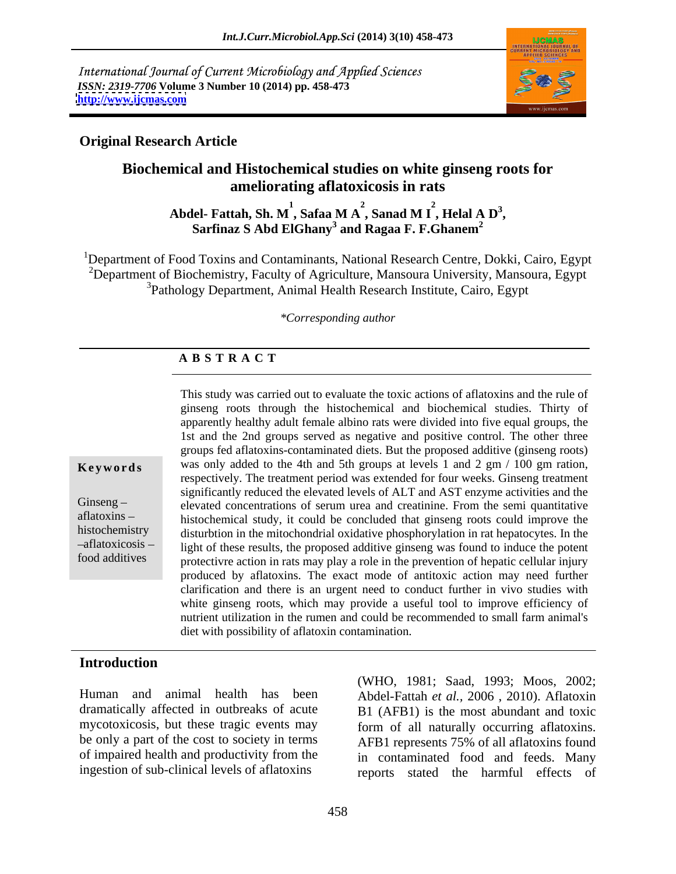International Journal of Current Microbiology and Applied Sciences *ISSN: 2319-7706* **Volume 3 Number 10 (2014) pp. 458-473 <http://www.ijcmas.com>**



# **Original Research Article**

# **Biochemical and Histochemical studies on white ginseng roots for ameliorating aflatoxicosis in rats**

Abdel- Fattah, Sh. M<sup>1</sup>, Safaa M A<sup>2</sup>, Sanad M I<sup>2</sup>, Helal A D<sup>3</sup>,<br>Sarfinaz S Abd ElGhany<sup>3</sup> and Ragaa F. F.Ghanem<sup>2</sup>  $2 \quad - \quad 2 \quad - \quad 3$ **, Helal A D<sup>3</sup> Sarfinaz S Abd ElGhany<sup>3</sup> and Ragaa F. F.Ghanem<sup>2</sup>** 

<sup>1</sup>Department of Food Toxins and Contaminants, National Research Centre, Dokki, Cairo, Egypt <sup>2</sup>Department of Biochemistry, Faculty of Agriculture, Mansoura University, Mansoura, Egypt 3Pathology Department, Animal Health Research Institute, Cairo, Egypt

*\*Corresponding author*

# **A B S T R A C T**

**Keywords** was only added to the 4th and 5th groups at levels 1 and 2 gm / 100 gm ration, Ginseng – elevated concentrations of serum urea and creatinine. From the semi quantitative aflatoxins histochemical study, it could be concluded that ginseng roots could improve the histochemistry disturbtion in the mitochondrial oxidative phosphorylation in rat hepatocytes. In the aflatoxicosis light of these results, the proposed additive ginseng was found to induce the potent food additives protectivre action in rats may play a role in the prevention of hepatic cellular injury This study was carried out to evaluate the toxic actions of aflatoxins and the rule of ginseng roots through the histochemical and biochemical studies. Thirty of apparently healthy adult female albino rats were divided into five equal groups, the 1st and the 2nd groups served as negative and positive control. The other three groups fed aflatoxins-contaminated diets. But the proposed additive (ginseng roots) respectively. The treatment period was extended for four weeks. Ginseng treatment significantly reduced the elevated levels of ALT and AST enzyme activities and the produced by aflatoxins. The exact mode of antitoxic action may need further clarification and there is an urgent need to conduct further in vivo studies with white ginseng roots, which may provide a useful tool to improve efficiency of nutrient utilization in the rumen and could be recommended to small farm animal's diet with possibility of aflatoxin contamination.

## **Introduction**

Human and animal health has been mycotoxicosis, but these tragic events may be only a part of the cost to society in terms of impaired health and productivity from the ingestion of sub-clinical levels of aflatoxins

dramatically affected in outbreaks of acute B1 (AFB1) is the most abundant and toxic (WHO, 1981; Saad, 1993; Moos, 2002; Abdel-Fattah *et al.,* 2006 , 2010). Aflatoxin form of all naturally occurring aflatoxins. AFB1 represents 75% of all aflatoxins found in contaminated food and feeds. Many reports stated the harmful effects of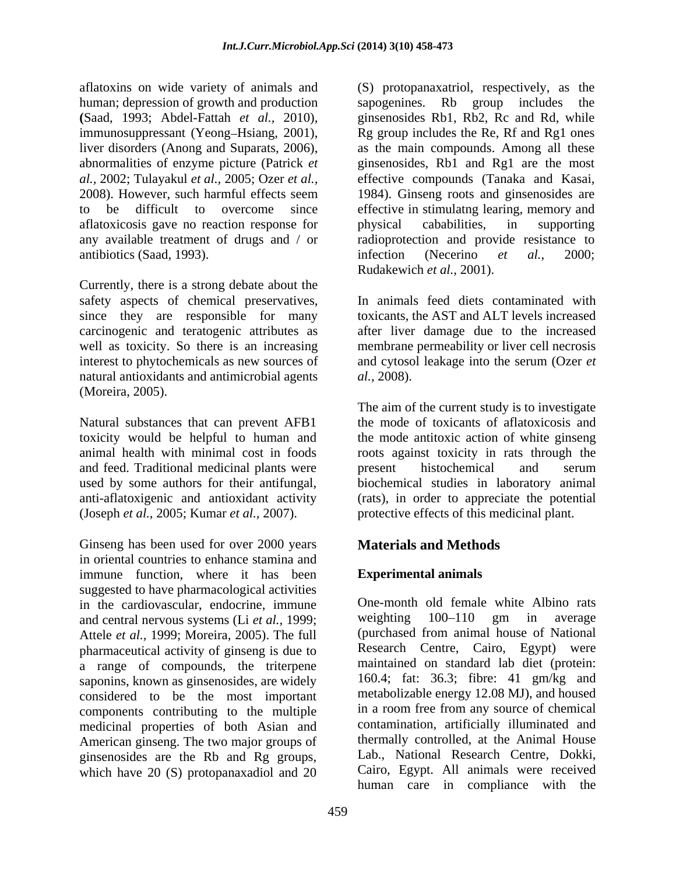human; depression of growth and production sapogenines. aflatoxicosis gave no reaction response for bhysical cababilities, in supporting antibiotics (Saad, 1993). The infection (Necerino et al., 2000;

Currently, there is a strong debate about the safety aspects of chemical preservatives, In animals feed diets contaminated with natural antioxidants and antimicrobial agents *al.*, 2008). (Moreira, 2005).

Natural substances that can prevent AFB1 and feed. Traditional medicinal plants were energy present histochemical and serum

Ginseng has been used for over 2000 years **Materials and Methods** in oriental countries to enhance stamina and immune function, where it has been suggested to have pharmacological activities in the cardiovascular, endocrine, immune  $\frac{1}{2}$  One-month old female white Albino rats and central nervous systems (Li *et al.* 1999; weighting 100–110 gm in average and central nervous systems (Li *et al.,* 1999; Attele *et al.,* 1999; Moreira, 2005). The full pharmaceutical activity of ginseng is due to a range of compounds, the triterpene saponins, known as ginsenosides, are widely considered to be the most important components contributing to the multiple medicinal properties of both Asian and American ginseng. The two major groups of ginsenosides are the Rb and Rg groups, which have 20 (S) protopanaxadiol and 20

aflatoxins on wide variety of animals and (S) protopanaxatriol, respectively, as the (Saad, 1993; Abdel-Fattah *et al.*, 2010), ginsenosides Rb1, Rb2, Rc and Rd, while immunosuppressant (Yeong-Hsiang, 2001), Rg group includes the Re, Rf and Rg1 ones liver disorders (Anong and Suparats, 2006), as the main c *al.,* 2002; Tulayakul *et al.,* 2005; Ozer *et al.,*effective compounds (Tanaka and Kasai, 2008). However, such harmful effects seem 1984). Ginseng roots and ginsenosides are to be difficult to overcome since effective in stimulatng learing, memory and any available treatment of drugs and / or radioprotection and provide resistance to Rb group includes the ginsenosides Rb1, Rb2, Rc and Rd, while Rg group includes the Re, Rf and Rg1 ones as the main compounds. Among all these ginsenosides, Rb1 and Rg1 are the most physical cababilities, in supporting infection (Necerino *et al.,* 2000;

since they are responsible for many toxicants, the AST and ALT levels increased carcinogenic and teratogenic attributes as after liver damage due to the increased well as toxicity. So there is an increasing membrane permeability or liver cell necrosis interest to phytochemicals as new sources of and cytosol leakage into the serum (Ozer *et*  Rudakewich *et al.*, 2001).<br>In animals feed diets contaminated with *al.*, 2008).

toxicity would be helpful to human and the mode antitoxic action of white ginseng animal health with minimal cost in foods roots against toxicity in rats through the used by some authors for their antifungal, biochemical studies in laboratory animal anti-aflatoxigenic and antioxidant activity (rats), in order to appreciate the potential (Joseph *et al.,* 2005; Kumar *et al.,* 2007). protective effects of this medicinal plant. The aim of the current study is to investigate the mode of toxicants of aflatoxicosis and present histochemical and serum

# **Materials and Methods**

# **Experimental animals**

One-month old female white Albino rats weighting 100–110 gm in average (purchased from animal house of National Research Centre, Cairo, Egypt) were maintained on standard lab diet (protein: 160.4; fat: 36.3; fibre: 41 gm/kg and metabolizable energy 12.08 MJ), and housed in a room free from any source of chemical contamination, artificially illuminated and thermally controlled, at the Animal House Lab., National Research Centre, Dokki, Cairo, Egypt. All animals were received human care in compliance with the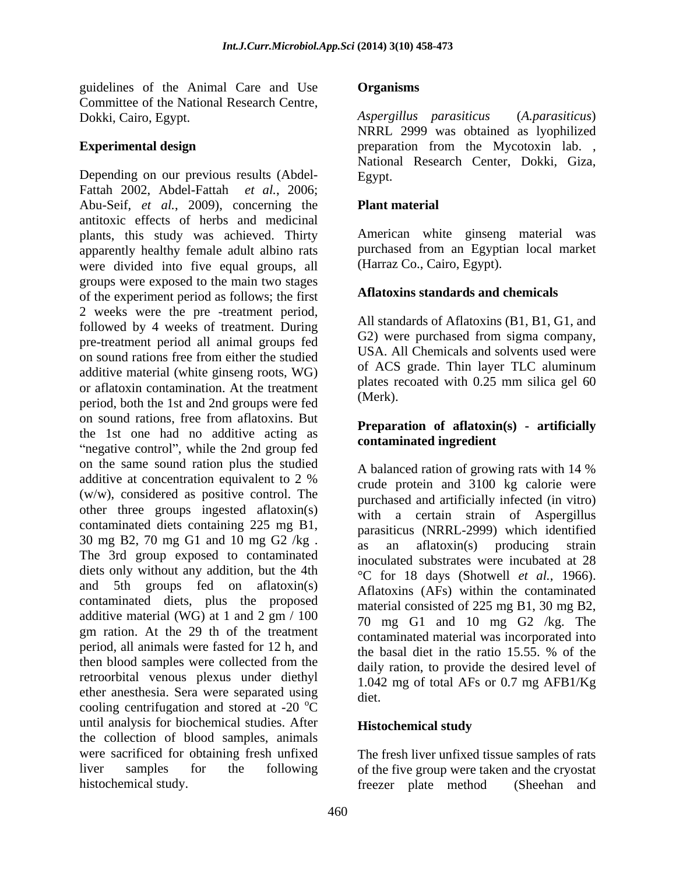guidelines of the Animal Care and Use **Organisms** Committee of the National Research Centre,<br>
Dokki Cairo Egypt Mateus, Aspergillus parasiticus (A. parasiticus) Dokki, Cairo, Egypt.

Depending on our previous results (Abdel-<br>Egypt. Fattah 2002, Abdel-Fattah *et al.*, 2006; Abu-Seif, *et al.*, 2009), concerning the antitoxic effects of herbs and medicinal plants, this study was achieved. Thirty apparently healthy female adult albino rats were divided into five equal groups, all groups were exposed to the main two stages of the experiment period as follows; the first 2 weeks were the pre -treatment period, followed by 4 weeks of treatment. During pre-treatment period all animal groups fed on sound rations free from either the studied additive material (white ginseng roots, WG) or aflatoxin contamination. At the treatment  $\mu$  plates represented to the treatment of  $\mu$  (Merk). period, both the 1st and 2nd groups were fed on sound rations, free from aflatoxins. But the 1st one had no additive acting as "negative control", while the 2nd group fed on the same sound ration plus the studied<br>A balanced ration of growing rats with 14 % additive at concentration equivalent to 2 % (w/w), considered as positive control. The other three groups ingested aflatoxin(s) contaminated diets containing 225 mg B1, 30 mg B2, 70 mg G1 and 10 mg G2  $/kg$ . as an aflatoxin(s) producing strain The 3rd group exposed to contaminated diets only without any addition, but the 4th and 5th groups fed on aflatoxin(s) contaminated diets, plus the proposed additive material (WG) at 1 and 2 gm / 100 gm ration. At the 29 th of the treatment period, all animals were fasted for 12 h, and<br>the basal diet in the ratio 15.55, % of the then blood samples were collected from the retroorbital venous plexus under diethyl ether anesthesia. Sera were separated using diet. cooling centrifugation and stored at -20  $^{\circ}$ C until analysis for biochemical studies. After **Histochemical study** the collection of blood samples, animals were sacrificed for obtaining fresh unfixed The fresh liver unfixed tissue samples of rats liver samples for the following of the five group were taken and the cryostat

### **Organisms**

**Experimental design** experimental **experimental design** *Aspergillus parasiticus* (*A.parasiticus*) NRRL 2999 was obtained as lyophilized National Research Center, Dokki, Giza, Egypt.

### **Plant material**

American white ginseng material was purchased from an Egyptian local market (Harraz Co., Cairo, Egypt).

### **Aflatoxins standards and chemicals**

All standards of Aflatoxins (B1, B1, G1, and G2) were purchased from sigma company, USA. All Chemicals and solvents used were of ACS grade. Thin layer TLC aluminum plates recoated with 0.25 mm silica gel 60 (Merk).

### **Preparation of aflatoxin(s) - artificially contaminated ingredient**

A balanced ration of growing rats with 14 % crude protein and 3100 kg calorie were purchased and artificially infected (in vitro) with a certain strain of Aspergillus parasiticus (NRRL-2999) which identified an aflatoxin(s) producing inoculated substrates were incubated at 28 °C for 18 days (Shotwell *et al.*, 1966). Aflatoxins (AFs) within the contaminated material consisted of 225 mg B1, 30 mg B2, 70 mg G1 and 10 mg G2 /kg. The contaminated material was incorporated into the basal diet in the ratio 15.55. % of the daily ration, to provide the desired level of 1.042 mg of total AFs or 0.7 mg AFB1/Kg diet. **Example 2018** 

## **Histochemical study**

histochemical study. freezer plate method (Sheehan and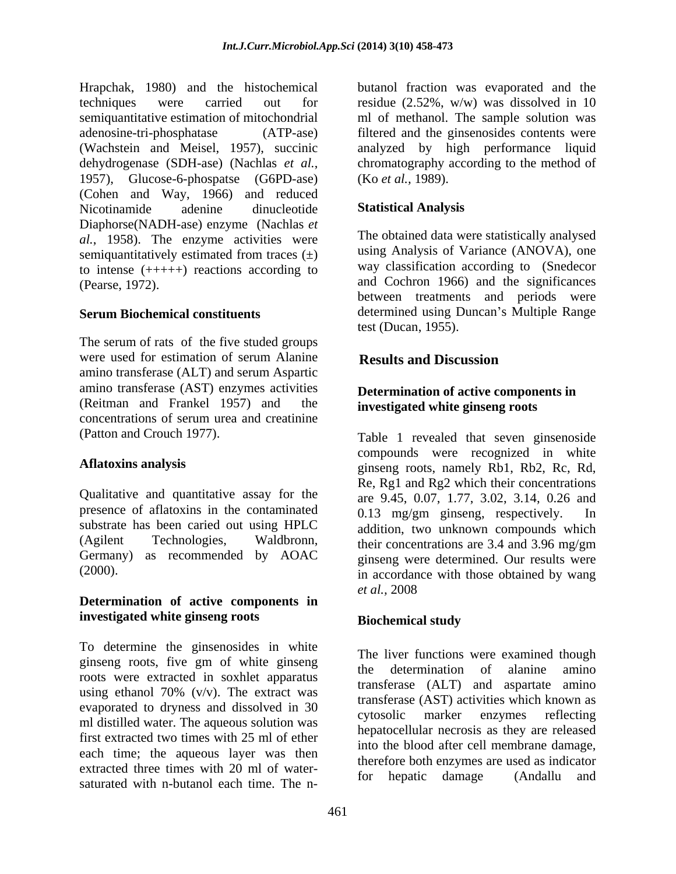Hrapchak, 1980) and the histochemical techniques were carried out for residue (2.52%, w/w) was dissolved in 10 semiquantitative estimation of mitochondrial ml of methanol. The sample solution was adenosine-tri-phosphatase (ATP-ase) filtered and the ginsenosides contents were (Wachstein and Meisel, 1957), succinic analyzed by high performance liquid dehydrogenase (SDH-ase) (Nachlas *et al.*, chromatography according to the method of 1957), Glucose-6-phospatse (G6PD-ase) (Ko *et al.*, 1989). (Cohen and Way, 1966) and reduced<br>Nicotinamide adenine dinucleotide **Statistical Analysis** Nicotinamide adenine dinucleotide **Statistical Analysis** Diaphorse(NADH-ase) enzyme (Nachlas *et al.*, 1958). The enzyme activities were semiquantitatively estimated from traces  $(\pm)$ to intense (+++++) reactions according to (Pearse, 1972). and Cochron 1966) and the significances

The serum of rats of the five studed groups were used for estimation of serum Alanine **Results and Discussion** amino transferase (ALT) and serum Aspartic amino transferase (AST) enzymes activities (Reitman and Frankel 1957) and the concentrations of serum urea and creatinine

Qualitative and quantitative assay for the presence of aflatoxins in the contaminated  $0.13 \text{ mg/cm}$  ginseng, respectively. In substrate has been caried out using HPLC (Agilent Technologies, Waldbronn, their concentrations are 3.4 and 3.96 mg/gm

# **Determination of active components in investigated white ginseng roots**

To determine the ginsenosides in white ginseng roots, five gm of white ginseng<br>the determination of alanine amino roots were extracted in soxhlet apparatus using ethanol 70%  $(v/v)$ . The extract was evaporated to dryness and dissolved in 30<br>cytosolic marker enzymes reflecting ml distilled water. The aqueous solution was first extracted two times with 25 ml of ether each time; the aqueous layer was then extracted three times with 20 ml of water-<br>for hepatic damage (Andallu and saturated with n-butanol each time. The n-

butanol fraction was evaporated and the chromatography according to the method of (Ko *et al.,* 1989).

### **Statistical Analysis**

**Serum Biochemical constituents** determined using Duncan's Multiple Range The obtained data were statistically analysed using Analysis of Variance (ANOVA), one way classification according to (Snedecor between treatments and periods were test (Ducan, 1955).

# **Results and Discussion**

### **Determination of active components in investigated white ginseng roots**

(Patton and Crouch 1977). Table 1 revealed that seven ginsenoside Aflatoxins analysis einseng roots, namely Rb1, Rb2, Rc, Rd, Germany) as recommended by AOAC ginseng were determined. Our results were (2000). The interest in accordance with those obtained by wang compounds were recognized in white Re, Rg1 and Rg2 which their concentrations are 9.45, 0.07, 1.77, 3.02, 3.14, 0.26 and  $0.13$  mg/gm ginseng, respectively. addition, two unknown compounds which their concentrations are 3.4 and 3.96 mg/gm *et al.,* 2008

# **Biochemical study**

The liver functions were examined though the determination of alanine amino transferase (ALT) and aspartate amino transferase (AST) activities which known as cytosolic marker enzymes reflecting hepatocellular necrosis as they are released into the blood after cell membrane damage, therefore both enzymes are used as indicator for hepatic damage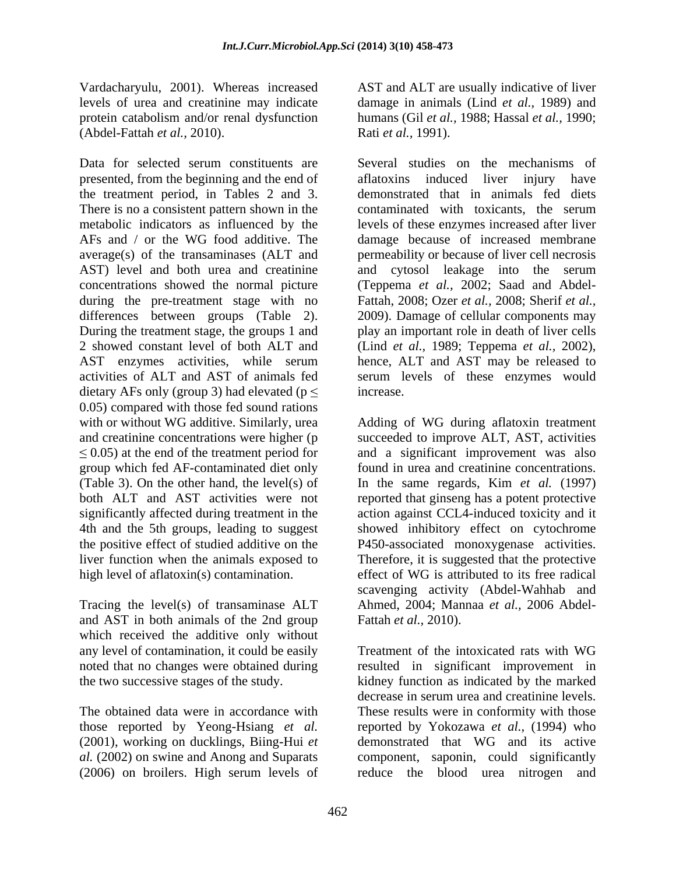(Abdel-Fattah *et al.,* 2010).

presented, from the beginning and the end of the treatment period, in Tables 2 and 3. There is no a consistent pattern shown in the contaminated with toxicants, the serum average(s) of the transaminases (ALT and AST) level and both urea and creatinine and cytosol leakage into the serum during the pre-treatment stage with no differences between groups (Table 2). 2 showed constant level of both ALT and (Lind *et al.*, 1989; Teppema *et al.*, 2002), AST enzymes activities, while serum hence, ALT and AST may be released to dietary AFs only (group 3) had elevated ( $p \le$  increase. 0.05) compared with those fed sound rations with or without WG additive. Similarly, urea Adding of WG during aflatoxin treatment and creatinine concentrations were higher (p succeeded to improve ALT, AST, activities  $\leq$  0.05) at the end of the treatment period for group which fed AF-contaminated diet only (Table 3). On the other hand, the level(s) of In the same regards, Kim *et al.* (1997) both ALT and AST activities were not reported that ginseng has a potent protective significantly affected during treatment in the action against CCL4-induced toxicity and it 4th and the 5th groups, leading to suggest showed inhibitory effect on cytochrome the positive effect of studied additive on the P450-associated monoxygenase activities. liver function when the animals exposed to Therefore, it is suggested that the protective

Tracing the level(s) of transaminase ALT and AST in both animals of the 2nd group which received the additive only without any level of contamination, it could be easily Treatment of the intoxicated rats with WG

those reported by Yeong-Hsiang *et al.*

Vardacharyulu, 2001). Whereas increased AST and ALT are usually indicative of liver levels of urea and creatinine may indicate damage in animals (Lind *et al.,* 1989) and protein catabolism and/or renal dysfunction humans (Gil *et al.,* 1988; Hassal *et al.,* 1990; Rati *et al.,* 1991).

Data for selected serum constituents are Several studies on the mechanisms of metabolic indicators as influenced by the levels of these enzymes increased after liver AFs and / or the WG food additive. The damage because of increased membrane concentrations showed the normal picture (Teppema *et al.,* 2002; Saad and Abdel- During the treatment stage, the groups 1 and play an important role in death of liver cells activities of ALT and AST of animals fed serum levels of these enzymes would aflatoxins induced liver injury demonstrated that in animals fed diets contaminated with toxicants, the serum permeability or because of liver cell necrosis and cytosol leakage into the serum Fattah, 2008; Ozer *et al.,* 2008; Sherif *et al.,* 2009). Damage of cellular components may (Lind *et al.,* 1989; Teppema *et al.,* 2002), hence, ALT and AST may be released to increase.

high level of aflatoxin(s) contamination. effect of WG is attributed to its free radical and a significant improvement was also found in urea and creatinine concentrations. scavenging activity (Abdel-Wahhab and Ahmed, 2004; Mannaa *et al.,* 2006 Abdel- Fattah *et al.,* 2010).

noted that no changes were obtained during resulted in significant improvement in the two successive stages of the study. kidney function as indicated by the marked The obtained data were in accordance with These results were in conformity with those (2001), working on ducklings, Biing-Hui *et*  demonstrated that WG and its active *al.* (2002) on swine and Anong and Suparats component, saponin, could significantly (2006) on broilers. High serum levels of reduce the blood urea nitrogen andTreatment of the intoxicated rats with WG decrease in serum urea and creatinine levels. reported by Yokozawa *et al.,* (1994) who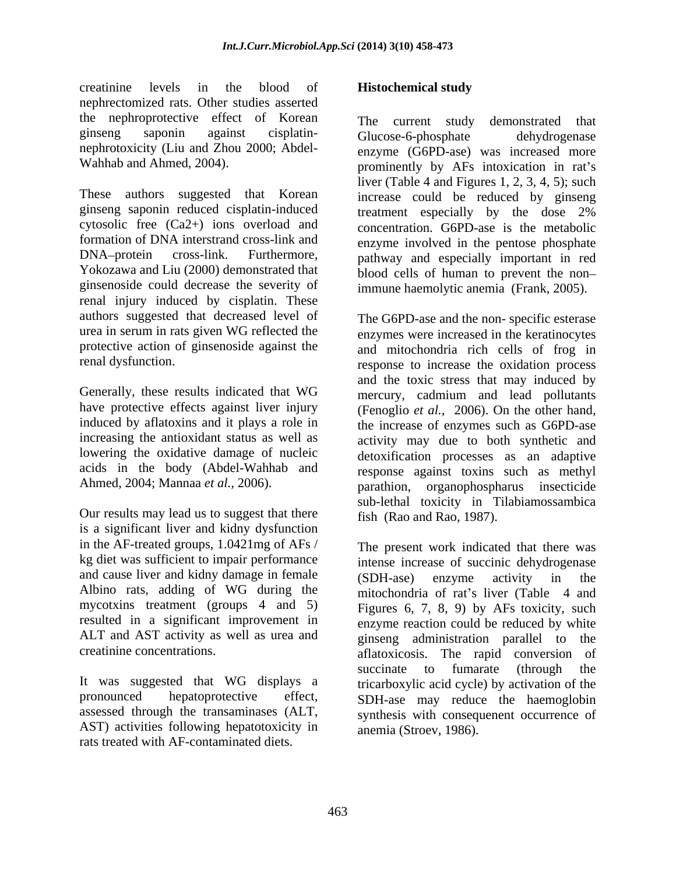creatinine levels in the blood of **Histochemical study** nephrectomized rats. Other studies asserted the nephroprotective effect of Korean

ginsenoside could decrease the severity of immune haemolytic anemia (Frank, 2005). renal injury induced by cisplatin. These authors suggested that decreased level of The G6PD-ase and the non-specific esterase urea in serum in rats given WG reflected the enzymes were increased in the keratinocytes protective action of ginsenoside against the and mitochondria rich cells of frog in

increasing the antioxidant status as well as

Our results may lead us to suggest that there fish (Rao and Rao, 1987). is a significant liver and kidny dysfunction in the AF-treated groups, 1.0421mg of AFs / kg diet was sufficient to impair performance and cause liver and kidny damage in female (SDH-ase) enzyme activity in the Albino rats, adding of WG during the mycotxins treatment (groups 4 and 5) ALT and AST activity as well as urea and einseng administration parallel to the

It was suggested that WG displays a AST) activities following hepatotoxicity in rats treated with AF-contaminated diets.

### **Histochemical study**

ginseng saponin against cisplatin nephrotoxicity (Liu and Zhou 2000; Abdel-<br>enzyme (G6PD-ase) was increased more Wahhab and Ahmed, 2004). The prominently by AFs intoxication in rat's These authors suggested that Korean increase could be reduced by ginseng ginseng saponin reduced cisplatin-induced treatment especially by the dose 2% cytosolic free (Ca2+) ions overload and concentration. G6PD-ase is the metabolic formation of DNA interstrand cross-link and enzyme involved in the pentose phosphate DNA protein cross-link. Furthermore, pathway and especially important in red Yokozawa and Liu (2000) demonstrated that blood cells of human to prevent the non-The current study demonstrated that Glucose-6-phosphate dehydrogenase liver (Table 4 and Figures 1, 2, 3, 4, 5); such

renal dysfunction. response to increase the oxidation process Generally, these results indicated that WG mercury, cadmium and lead pollutants have protective effects against liver injury (Fenoglio *et al.*, 2006). On the other hand, induced by aflatoxins and it plays a role in the increase of enzymes such as G6PD-ase lowering the oxidative damage of nucleic detoxification processes as an adaptive acids in the body (Abdel-Wahhab and response against toxins such as methyl Ahmed, 2004; Mannaa *et al.,* 2006). parathion, organophospharus insecticide immune haemolytic anemia (Frank, 2005). The G6PD-ase and the non- specific esterase and the toxic stress that may induced by activity may due to both synthetic and sub-lethal toxicity in Tilabiamossambica fish (Rao and Rao, 1987).

resulted in a significant improvement in enzyme reaction could be reduced by white creatinine concentrations. aflatoxicosis. The rapid conversion of pronounced hepatoprotective effect, SDH-ase may reduce the haemoglobin assessed through the transaminases (ALT, synthesis with consequenent occurrence of The present work indicated that there was intense increase of succinic dehydrogenase (SDH-ase) enzyme activity in the mitochondria of rat's liver (Table 4 and Figures 6, 7, 8, 9) by AFs toxicity, such ginseng administration parallel to succinate to fumarate (through the tricarboxylic acid cycle) by activation of the anemia (Stroev, 1986).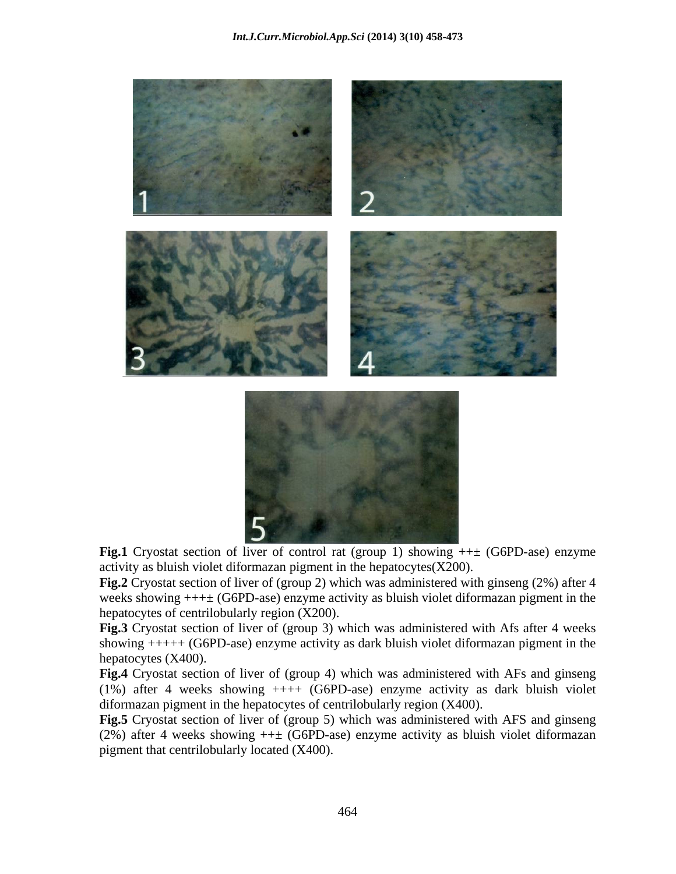



 **Fig.1** Cryostat section of liver of control rat (group 1) showing ++± (G6PD-ase) enzyme activity as bluish violet diformazan pigment in the hepatocytes $(X200)$ .

**Fig.2** Cryostat section of liver of (group 2) which was administered with ginseng (2%) after 4 weeks showing  $+++$  (G6PD-ase) enzyme activity as bluish violet diformazan pigment in the hepatocytes of centrilobularly region (X200).

**Fig.3** Cryostat section of liver of (group 3) which was administered with Afs after 4 weeks showing +++++ (G6PD-ase) enzyme activity as dark bluish violet diformazan pigment in the hepatocytes (X400).

**Fig.4** Cryostat section of liver of (group 4) which was administered with AFs and ginseng (1%) after 4 weeks showing ++++ (G6PD-ase) enzyme activity as dark bluish violet diformazan pigment in the hepatocytes of centrilobularly region (X400).

**Fig.5** Cryostat section of liver of (group 5) which was administered with AFS and ginseng (2%) after 4 weeks showing  $++$  (G6PD-ase) enzyme activity as bluish violet diformazan pigment that centrilobularly located (X400).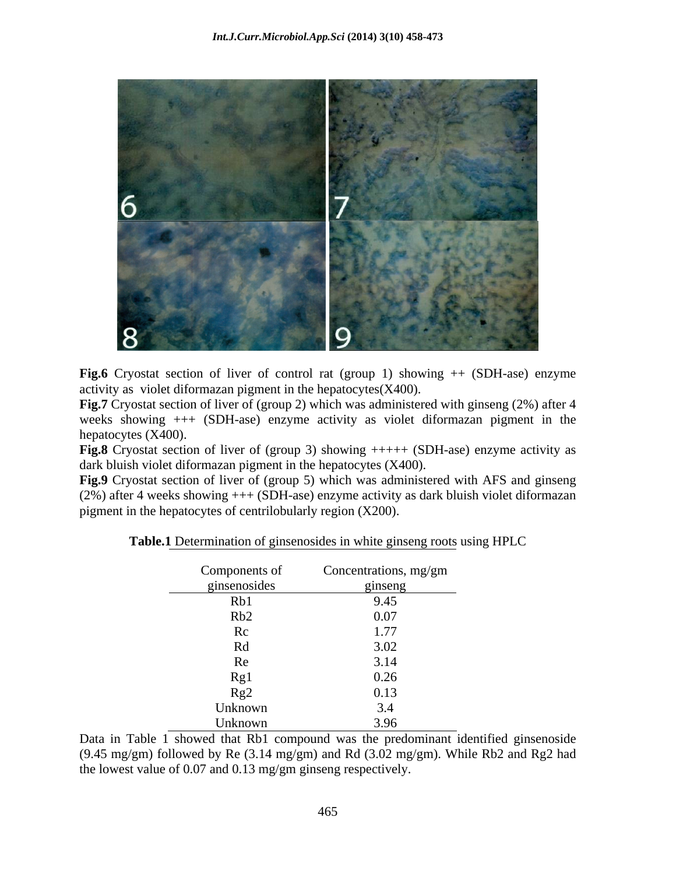

Fig.6 Cryostat section of liver of control rat (group 1) showing  $++$  (SDH-ase) enzyme activity as violet diformazan pigment in the hepatocytes(X400).

**Fig.7** Cryostat section of liver of (group 2) which was administered with ginseng (2%) after 4 weeks showing +++ (SDH-ase) enzyme activity as violet diformazan pigment in the hepatocytes (X400).

**Fig.8** Cryostat section of liver of (group 3) showing  $++++$  (SDH-ase) enzyme activity as dark bluish violet diformazan pigment in the hepatocytes (X400).

**Fig.9** Cryostat section of liver of (group 5) which was administered with AFS and ginseng (2%) after 4 weeks showing +++ (SDH-ase) enzyme activity as dark bluish violet diformazan pigment in the hepatocytes of centrilobularly region (X200).

| Components of | Concentrations, mg/gm |
|---------------|-----------------------|
| ginsenosides  | ginseng               |
| Rb1           | 9.45                  |
| Rb2           | 0.07                  |
| Rc            | 1.77                  |
| Rd            | 3.02                  |
| Re            | 3.14                  |
| Rg1           | 0.26                  |
| Rg2           | 0.13                  |
| Unknown       | 3.4                   |
| Unknown       | 3.96                  |

**Table.1** Determination of ginsenosides in white ginseng roots using HPLC

Data in Table 1 showed that Rb1 compound was the predominant identified ginsenoside (9.45 mg/gm) followed by Re (3.14 mg/gm) and Rd (3.02 mg/gm). While Rb2 and Rg2 had the lowest value of 0.07 and 0.13 mg/gm ginseng respectively.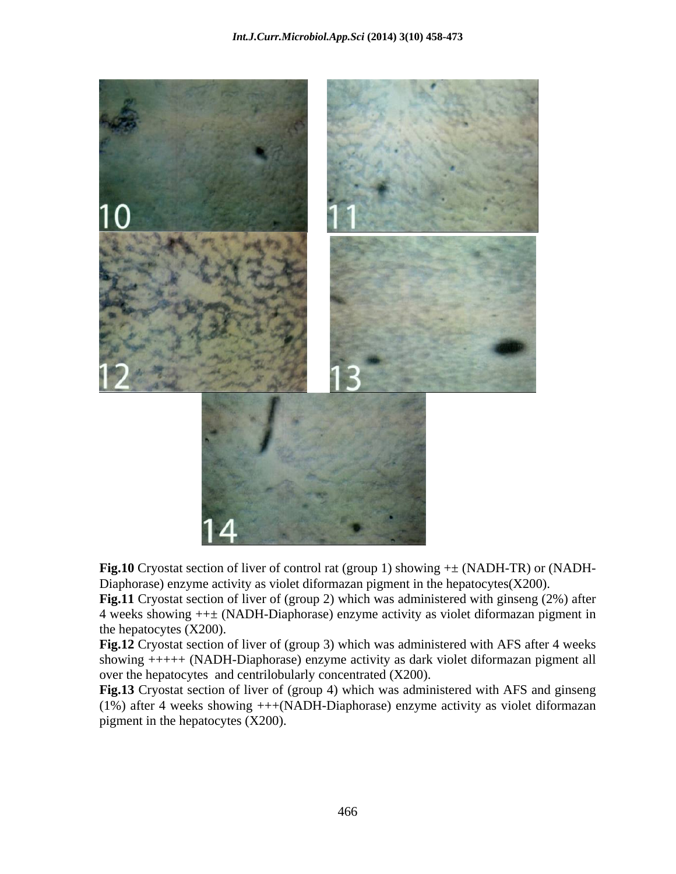

**Fig.10** Cryostat section of liver of control rat (group 1) showing +± (NADH-TR) or (NADH- Diaphorase) enzyme activity as violet diformazan pigment in the hepatocytes $(X200)$ .

**Fig.11** Cryostat section of liver of (group 2) which was administered with ginseng (2%) after 4 weeks showing ++± (NADH-Diaphorase) enzyme activity as violet diformazan pigment in the hepatocytes (X200).

**Fig.12** Cryostat section of liver of (group 3) which was administered with AFS after 4 weeks showing +++++ (NADH-Diaphorase) enzyme activity as dark violet diformazan pigment all over the hepatocytes and centrilobularly concentrated (X200).

**Fig.13** Cryostat section of liver of (group 4) which was administered with AFS and ginseng (1%) after 4 weeks showing +++(NADH-Diaphorase) enzyme activity as violet diformazan pigment in the hepatocytes (X200).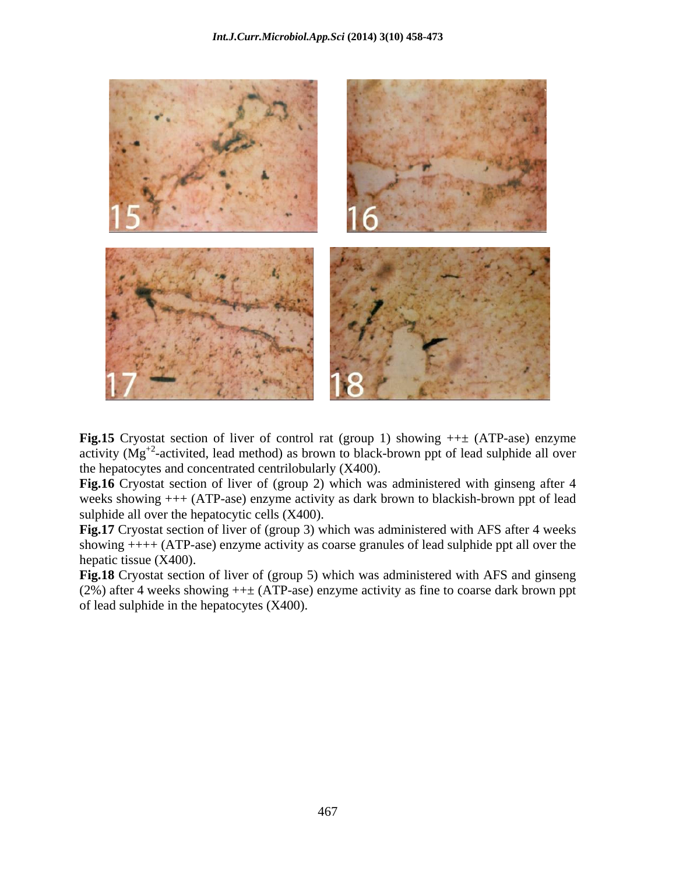

**Fig.15** Cryostat section of liver of control rat (group 1) showing ++± (ATP-ase) enzyme activity  $(Mg<sup>+2</sup>$ -activited, lead method) as brown to black-brown ppt of lead sulphide all over the hepatocytes and concentrated centrilobularly (X400).

**Fig.16** Cryostat section of liver of (group 2) which was administered with ginseng after 4 weeks showing +++ (ATP-ase) enzyme activity as dark brown to blackish-brown ppt of lead sulphide all over the hepatocytic cells (X400).

Fig.17 Cryostat section of liver of (group 3) which was administered with AFS after 4 weeks showing ++++ (ATP-ase) enzyme activity as coarse granules of lead sulphide ppt all over the hepatic tissue (X400).

**Fig.18** Cryostat section of liver of (group 5) which was administered with AFS and ginseng (2%) after 4 weeks showing  $++\pm$  (ATP-ase) enzyme activity as fine to coarse dark brown ppt of lead sulphide in the hepatocytes (X400).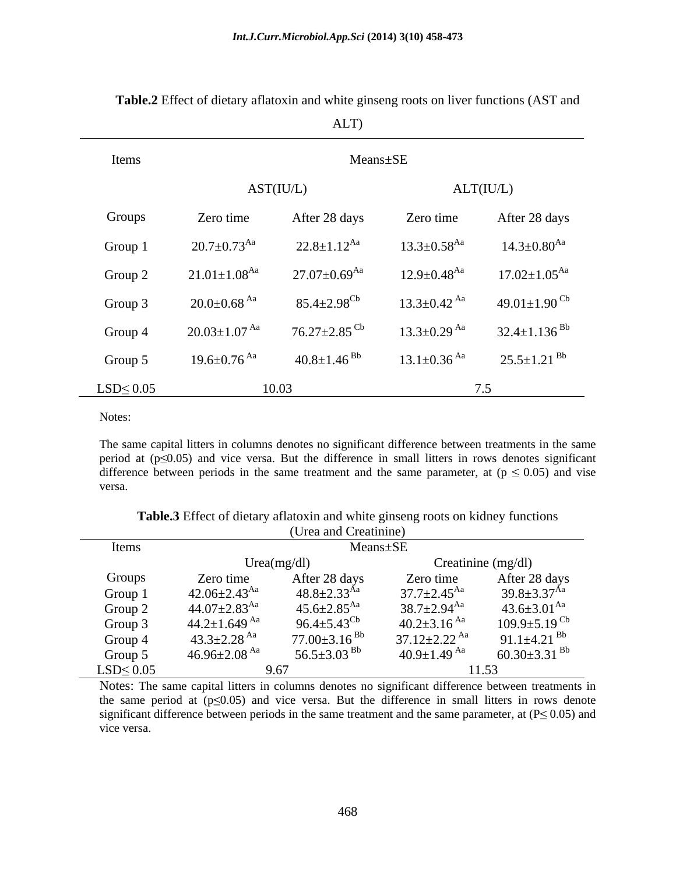|                 |                                | ALT)                           |                               |                                 |
|-----------------|--------------------------------|--------------------------------|-------------------------------|---------------------------------|
| Items           |                                | Means±SE                       |                               |                                 |
|                 |                                | AST (IU/L)                     |                               | ALT(IU/L)                       |
| Groups          | Zero time                      | After 28 days                  | Zero time                     | After 28 days                   |
| Group 1         | $20.7\pm0.73^{\mathrm{Aa}}$    | $22.8 \pm 1.12^{Aa}$           | $13.3 \pm 0.58$ <sup>Aa</sup> | $14.3{\pm}0.80^{\rm Aa}$        |
| Group 2         | $21.01 \pm 1.08$ <sup>Aa</sup> | $27.07{\pm}0.69^{\mathrm{Aa}}$ | $12.9 \pm 0.48^\text{Aa}$     | $17.02 \pm 1.05^{\text{Aa}}$    |
| Group 3         | $20.0\!\pm\!0.68$ $^{\rm{Aa}}$ | $85.4{\pm}2.98^{\rm{Cb}}$      | $13.3 \pm 0.42$ <sup>Aa</sup> | 49.01 $\pm$ 1.90 $^{\text{Cb}}$ |
| Group 4         | $20.03 \pm 1.07$ <sup>Aa</sup> | $76.27 \pm 2.85$ <sup>Cb</sup> | $13.3 \pm 0.29$ Aa            | $32.4 \pm 1.136$ <sup>Bb</sup>  |
| Group 5         | $19.6 \pm 0.76$ $^{\rm Aa}$    | $40.8 \pm 1.46^{ Bb}$          | $13.1 \pm 0.36$ Aa            | $25.5 \pm 1.21$ <sup>Bb</sup>   |
| $LSD \leq 0.05$ | 10.03<br>7.5                   |                                |                               |                                 |

**Table.2** Effect of dietary aflatoxin and white ginseng roots on liver functions (AST and

Notes:

The same capital litters in columns denotes no significant difference between treatments in the same period at  $(p \le 0.05)$  and vice versa. But the difference in small litters in rows denotes significant difference between periods in the same treatment and the same parameter, at ( $p \le 0.05$ ) and vise versa.

|                 | (Urea and Creatinine)          |                               |                                |                                |
|-----------------|--------------------------------|-------------------------------|--------------------------------|--------------------------------|
| Items           |                                | Means±SE                      |                                |                                |
|                 |                                | Urea(mg/dl)                   |                                | Creatinine $(mg/dl)$           |
| Groups          | Zero time                      | After 28 days                 | Zero time                      | After 28 days                  |
| Group 1         | $42.06 \pm 2.43$ <sup>Aa</sup> | $48.8 \pm 2.33$ <sup>Aa</sup> | $37.7 \pm 2.45$ <sup>Aa</sup>  | $39.8 \pm 3.37$ <sup>Aa</sup>  |
| Group 2         | $44.07 \pm 2.83$ <sup>Aa</sup> | $45.6 \pm 2.85$ <sup>Aa</sup> | $38.7 \pm 2.94$ <sup>Aa</sup>  | $43.6 \pm 3.01$ <sup>Aa</sup>  |
| Group 3         | $44.2 \pm 1.649$ <sup>Aa</sup> | $96.4 \pm 5.43^{\text{Cb}}$   | $40.2 \pm 3.16$ <sup>Aa</sup>  | $109.9 \pm 5.19$ <sup>Cb</sup> |
| Group 4         | $43.3 \pm 2.28$ <sup>Aa</sup>  | $77.00\pm3.16^{Bb}$           | $37.12 \pm 2.22$ <sup>Aa</sup> | 91.1 $\pm$ 4.21 <sup>Bb</sup>  |
| Group 5         | $46.96 \pm 2.08$ <sup>Aa</sup> | 56.5 $\pm$ 3.03 <sup>Bb</sup> | $40.9 \pm 1.49$ Aa             | $60.30 \pm 3.31$ <sup>Bb</sup> |
| $LSD \leq 0.05$ | 11.53<br>9.67                  |                               |                                |                                |

**Table.3** Effect of dietary aflatoxin and white ginseng roots on kidney functions

Notes: The same capital litters in columns denotes no significant difference between treatments in the same period at  $(p \le 0.05)$  and vice versa. But the difference in small litters in rows denote significant difference between periods in the same treatment and the same parameter, at  $(P \le 0.05)$  and vice versa.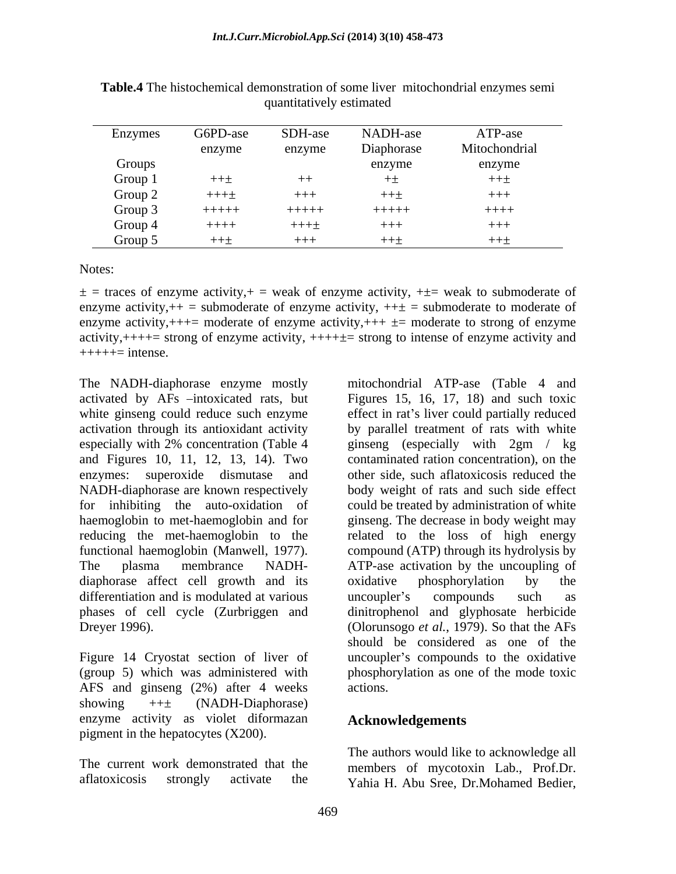| Enzymes | G6PD-ase | SDH-ase | NADH-ase   | ATP-ase       |
|---------|----------|---------|------------|---------------|
|         | enzyme   | enzyme  | Diaphorase | Mitochondrial |
| Groups  |          |         | enzyme     | enzyme        |
| Group 1 | $+++$    | $+ +$   |            | 十十土           |
| Group 2 | $+++±$   | $+++$   | 十十土        | $+++$         |
| Group 3 | $+++++$  | $+++++$ | $+++++$    | $++++$        |
| Group 4 | $+++++$  | $+++±$  | $+++$      | $+++$         |
| Group 5 | $+++$    | $+++$   | $++\pm$    | 十十士           |

**Table.4** The histochemical demonstration of some liver mitochondrial enzymes semi quantitatively estimated

Notes:

 $\pm$  = traces of enzyme activity, + = weak of enzyme activity, +  $\pm$  weak to submoderate of enzyme activity, $++$  = submoderate of enzyme activity,  $++$  = submoderate to moderate of enzyme activity, $+++$  moderate of enzyme activity, $+++$   $\pm$  moderate to strong of enzyme activity, $++++$ = strong of enzyme activity,  $++++$ = strong to intense of enzyme activity and  $+++++$ = intense.

and Figures 10, 11, 12, 13, 14). Two enzymes: superoxide dismutase and diaphorase affect cell growth and its oxidative phosphorylation by the differentiation and is modulated at various and uncoupler's compounds such as phases of cell cycle (Zurbriggen and

AFS and ginseng (2%) after 4 weeks showing ++± (NADH-Diaphorase) enzyme activity as violet diformazan pigment in the hepatocytes (X200).

The current work demonstrated that the members of mycotoxin Lab., Prof.Dr.

The NADH-diaphorase enzyme mostly mitochondrial ATP-ase (Table 4 and activated by AFs -intoxicated rats, but Figures 15, 16, 17, 18) and such toxic white ginseng could reduce such enzyme effect in rat's liver could partially reduced activation through its antioxidant activity by parallel treatment of rats with white especially with 2% concentration (Table 4 ginseng (especially with 2gm / kg NADH-diaphorase are known respectively body weight of rats and such side effect for inhibiting the auto-oxidation of could be treated by administration of white haemoglobin to met-haemoglobin and for ginseng. The decrease in body weight may reducing the met-haemoglobin to the related to the loss of high energy functional haemoglobin (Manwell, 1977). compound (ATP) through its hydrolysis by The plasma membrance NADH- ATP-ase activation by the uncoupling of Dreyer 1996). (Olorunsogo *et al.*, 1979). So that the AFs Figure 14 Cryostat section of liver of uncoupler's compounds to the oxidative (group 5) which was administered with phosphorylation as one of the mode toxic contaminated ration concentration), on the other side, such aflatoxicosis reduced the oxidative phosphorylation by the uncoupler's compounds such as dinitrophenol and glyphosate herbicide should be considered as one of the actions.

## **Acknowledgements**

aflatoxicosis strongly activate the Yahia H. Abu Sree, Dr.Mohamed Bedier,The authors would like to acknowledge all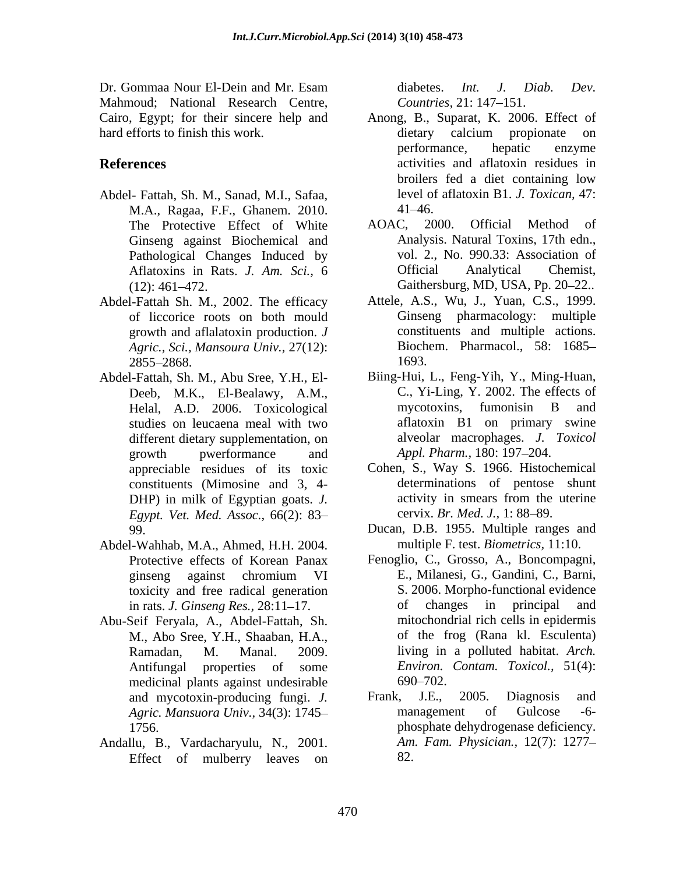Dr. Gommaa Nour El-Dein and Mr. Esam diabetes. Int. J. Diab. Dev. Mahmoud: National Research Centre, *Countries*, 21:147–151. hard efforts to finish this work.  $\qquad \qquad$  dietary calcium propionate on

- Abdel- Fattah, Sh. M., Sanad, M.I., Safaa, M.A., Ragaa, F.F., Ghanem. 2010. Ginseng against Biochemical and Pathological Changes Induced by vol. 2., No. 990.33: A<br>Aflatoxins in Rats. *J. Am. Sci.*, 6 **Cancel Contains Analytical**
- Abdel-Fattah Sh. M., 2002. The efficacy of liccorice roots on both mould growth and aflalatoxin production. *J Agric., Sci., Mansoura Univ.,* 27(12):
- Deeb, M.K., El-Bealawy, A.M., C., Yi-Ling, Y. 2002. The effe<br>
Helal. A.D. 2006. Toxicological mycotoxins, fumonisin B studies on leucaena meal with two different dietary supplementation, on growth pwerformance and Appl. Pharm., 180: 197–204. appreciable residues of its toxic *Egypt. Vet. Med. Assoc.,* 66(2): 83
- Abdel-Wahhab, M.A., Ahmed, H.H. 2004. toxicity and free radical generation
- medicinal plants against undesirable 690–702.
- Andallu, B., Vardacharyulu, N., 2001. Effect of mulberry leaves on

diabetes. *Int. J. Diab. Dev. Countries,* 21: 147–151.

- Cairo, Egypt; for their sincere help and Anong, B., Suparat, K. 2006. Effect of **References** activities and aflatoxin residues in dietary calcium propionate on performance, hepatic enzyme broilers fed a diet containing low level of aflatoxin B1. *J. Toxican,* 47:  $41 - 46.$ 
	- The Protective Effect of White AOAC, 2000. Official Method of Aflatoxins in Rats. *J. Am. Sci.,* 6 (12): 461–472. Gaithersburg, MD, USA, Pp. 20–22.. AOAC, 2000. Official Method Analysis. Natural Toxins, 17th edn., vol. 2., No. 990.33: Association of Official Analytical Chemist,
	- $2855 2868.$  1693. Attele, A.S., Wu, J., Yuan, C.S., 1999. Ginseng pharmacology: multiple constituents and multiple actions. Biochem. Pharmacol., 58: 1685 1693.
- Abdel-Fattah, Sh. M., Abu Sree, Y.H., El- Biing-Hui, L., Feng-Yih, Y., Ming-Huan, Helal, A.D. 2006. Toxicological mycotoxins, fumonisin B and C., Yi-Ling, Y. 2002. The effects of mycotoxins, fumonisin B and aflatoxin B1 on primary swine alveolar macrophages. *J. Toxicol Appl. Pharm.,* 180: 197–204.
	- constituents (Mimosine and 3, 4-<br>DHP) in milk of Egyptian goats. *J*. <br>activity in smears from the uterine Cohen, S., Way S. 1966. Histochemical determinations of pentose shunt activity in smears from the uterine cervix. *Br. Med. J.*, 1: 88–89.
	- 99. Ducan, D.B. 1955. Multiple ranges and multiple F. test. *Biometrics,* 11:10.
- Protective effects of Korean Panax Fenoglio, C., Grosso, A., Boncompagni, ginseng against chromium VI in rats. *J. Ginseng Res.*, 28:11–17. of changes in principal and Abu-Seif Feryala, A., Abdel-Fattah, Sh. mitochondrial rich cells in epidermis<br>M., Abo Sree, Y.H., Shaaban, H.A., of the frog (Rana kl. Esculenta)<br>Ramadan, M. Manal. 2009. living in a polluted habitat. Arch. Antifungal properties of some *Environ. Contam. Toxicol.,* 51(4): E., Milanesi, G., Gandini, C., Barni, S. 2006. Morpho-functional evidence of changes in principal and mitochondrial rich cells in epidermis of the frog (Rana kl. Esculenta) living in a polluted habitat. *Arch.*   $690 - 702.$ 
	- and mycotoxin-producing fungi. *J.* Frank, J.E., 2005. Diagnosis and *Agric. Mansuora Univ.,* 34(3): 1745 1756. phosphate dehydrogenase deficiency. Frank, J.E., 2005. Diagnosis and management of Gulcose -6- *Am. Fam. Physician.,* 12(7): 1277 82.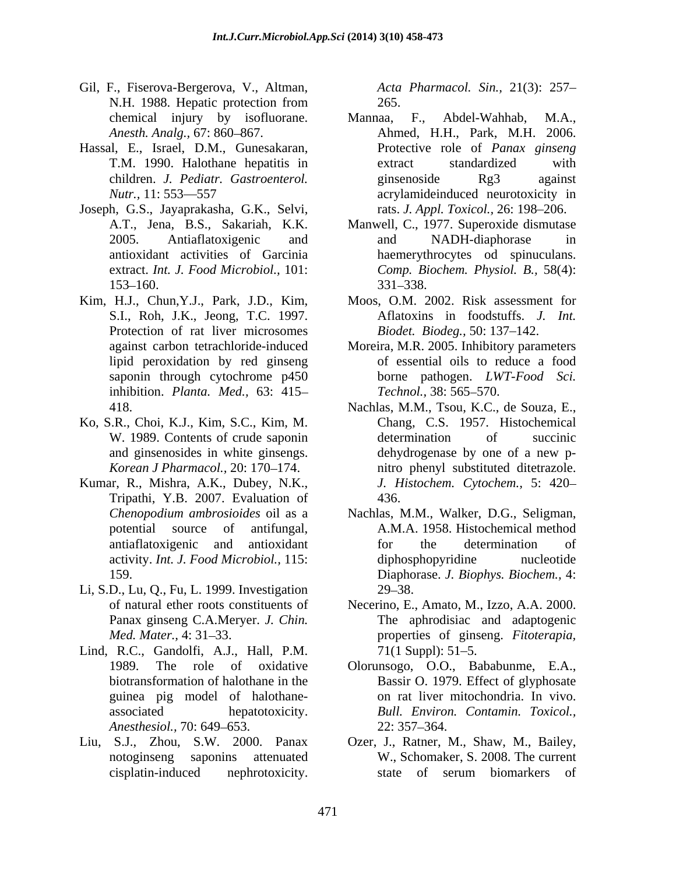- Gil, F., Fiserova-Bergerova, V., Altman, Acta Pharmacol. Sin., 21(3): 257-N.H. 1988. Hepatic protection from 265.
- Hassal, E., Israel, D.M., Gunesakaran,
- Joseph, G.S., Jayaprakasha, G.K., Selvi,
- Kim, H.J., Chun,Y.J., Park, J.D., Kim, Protection of rat liver microsomes inhibition. *Planta. Med.,* 63: 415
- Ko, S.R., Choi, K.J., Kim, S.C., Kim, M. *Korean J Pharmacol., 20: 170-174.*
- Tripathi, Y.B. 2007. Evaluation of
- Li, S.D., Lu, Q., Fu, L. 1999. Investigation Panax ginseng C.A.Meryer. *J. Chin.*
- Lind, R.C., Gandolfi, A.J., Hall, P.M. 71(1 Suppl): 51–5. guinea pig model of halothane-
- Liu, S.J., Zhou, S.W. 2000. Panax Ozer, J., Ratner, M., Shaw, M., Bailey,

265.

- chemical injury by isofluorane. Mannaa, F., Abdel-Wahhab, M.A., *Anesth. Analg.,* 67: 860–867. Ahmed, H.H., Park, M.H. 2006. T.M. 1990. Halothane hepatitis in children. *J. Pediatr. Gastroenterol. Nutr.*, 11: 553—557 **a**crylamideinduced neurotoxicity in 7, Fistory Regiony and Monte Booking, State Pharmacol. Sin., 21(3): 257, 12(3): 257, 12(3): 257, 12(3): 267, 12(3): 267, 12(3): 267, 12(3): 267, 12(3): 267, 12(3): 267, 12(3): 267, 12(3): 267, 12(3): 21(3): 21(3): 21(3): 2 Mannaa, F., Abdel-Wahhab, M.A., Protective role of *Panax ginseng* extract standardized with ginsenoside Rg3 against rats. *J. Appl. Toxicol.*, 26: 198-206.
- A.T., Jena, B.S., Sakariah, K.K. Manwell, C., 1977. Superoxide dismutase 2005. Antiaflatoxigenic and antioxidant activities of Garcinia haemerythrocytes od spinuculans. extract. *Int. J. Food Microbiol.,* 101: *Comp. Biochem. Physiol. B.,* 58(4): 153–160. 331–338. and NADH-diaphorase in 331 338.
- S.I., Roh, J.K., Jeong, T.C. 1997. Aflatoxins in foodstuffs. *J. Int.* Moos, O.M. 2002. Risk assessment for *Biodet. Biodeg.,* 50: 137–142.
- against carbon tetrachloride-induced Moreira, M.R. 2005. Inhibitory parameters lipid peroxidation by red ginseng of essential oils to reduce a food saponin through cytochrome p450 borne pathogen. *LWT-Food Sci. Technol.,* 38: 565–570.
- 418. Nachlas, M.M., Tsou, K.C., de Souza, E., W. 1989. Contents of crude saponin determination of succinic and ginsenosides in white ginsengs. Kumar, R., Mishra, A.K., Dubey, N.K., *J. Histochem. Cytochem.,* 5: 420 Chang, C.S. 1957. Histochemical determination of succinic dehydrogenase by one of a new p nitro phenyl substituted ditetrazole. 436.
	- *Chenopodium ambrosioides* oil as a Nachlas, M.M., Walker, D.G., Seligman, potential source of antifungal, A.M.A. 1958. Histochemical method antiaflatoxigenic and antioxidant activity. *Int. J. Food Microbiol.,* 115: 159. Diaphorase. *J. Biophys. Biochem.,* 4: for the determination of diphosphopyridine nucleotide  $29 - 38.$
	- of natural ether roots constituents of Necerino, E., Amato, M., Izzo, A.A. 2000. *Med. Mater.,* 4: 31–33. **properties** of ginseng. *Fitoterapia,* The aphrodisiac and adaptogenic  $71(1 \text{ Suppl})$ : 51–5.
	- 1989. The role of oxidative Olorunsogo, O.O., Bababunme, E.A., biotransformation of halothane in the Bassir O. 1979. Effect of glyphosate associated hepatotoxicity. *Bull. Environ. Contamin. Toxicol., Anesthesiol.,* 70: 649–653. 22: 357–364. on rat liver mitochondria. In vivo.  $22: 357 - 364.$
	- notoginseng saponins attenuated W., Schomaker, S. 2008. The current state of serum biomarkers of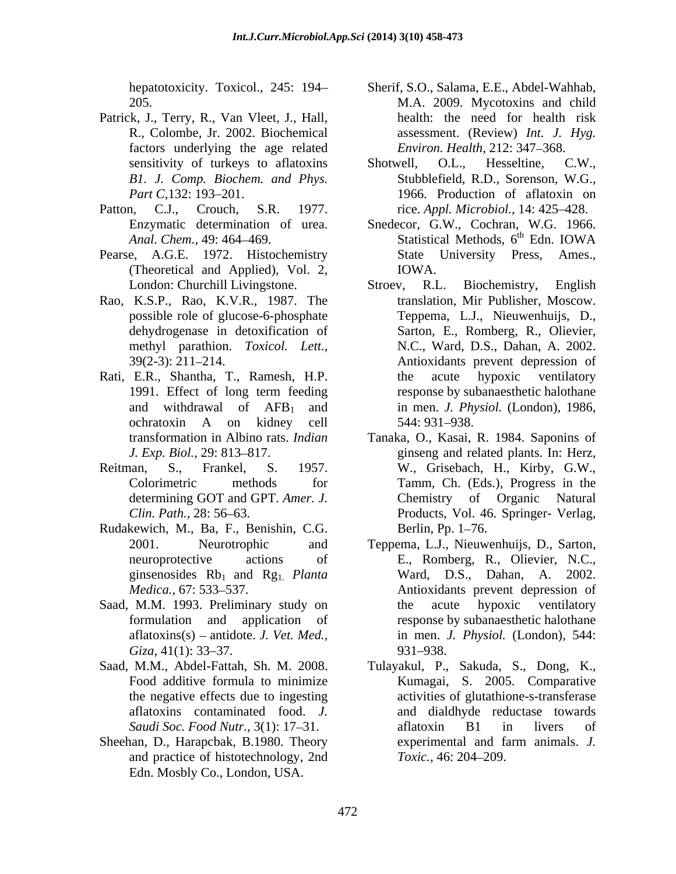- Patrick, J., Terry, R., Van Vleet, J., Hall, factors underlying the age related
- 
- Pearse, A.G.E. 1972. Histochemistry (Theoretical and Applied), Vol. 2,
- Rao, K.S.P., Rao, K.V.R., 1987. The
- Rati, E.R., Shantha, T., Ramesh, H.P. the acute hypoxic ventilatory
- 
- Rudakewich, M., Ba, F., Benishin, C.G.
- Saad, M.M. 1993. Preliminary study on the acute hypoxic ventilatory
- 
- and practice of histotechnology, 2nd Toxic., 46: 204–209. Edn. Mosbly Co., London, USA.
- hepatotoxicity. Toxicol., 245: 194 Sherif, S.O., Salama, E.E., Abdel-Wahhab, 205. M.A. 2009. Mycotoxins and child R., Colombe, Jr. 2002. Biochemical assessment. (Review) *Int. J. Hyg.* health: the need for health risk *Environ. Health, 212: 347-368.*
- sensitivity of turkeys to aflatoxins Shotwell, O.L., Hesseltine, C.W., *B1. J. Comp. Biochem. and Phys.* Shotwell, O.L., Hesseltine, C.W., Stubblefield, R.D., Sorenson, W.G., *Part C*, 132: 193–201. 1966. Production of a flatoxin on Patton, C.J., Crouch, S.R. 1977. rice. *Appl. Microbiol.*, 14: 425–428.
	- Enzymatic determination of urea. Snedecor, G.W., Cochran, W.G. 1966. Anal. Chem., 49: 464–469. **Statistical Methods**, 6<sup>th</sup> Edn. IOWA th Edn. IOWA State University Press, Ames., IOWA.
	- London: Churchill Livingstone. Stroev, R.L. Biochemistry, English possible role of glucose-6-phosphate Teppema, L.J., Nieuwenhuijs, D., possible role of glucose-6-phosphate Teppema, L.J., Nieuwenhuijs, D., dehydrogenase in detoxification of Sarton, E., Romberg, R., Olievier, methyl parathion. *Toxicol. Lett.*, N.C., Ward, D.S., Dahan, A. 2002. 39(2-3): 211 214. Antioxidants prevent depression of 1991. Effect of long term feeding response by subanaesthetic halothane and withdrawal of  $AFB_1$  and in men. *J. Physiol.* (London), 1986, ochratoxin A on kidney cell Stroev, R.L. Biochemistry, English translation, Mir Publisher, Moscow. the acute hypoxic ventilatory response by subanaesthetic halothane 544: 931 938.
- transformation in Albino rats. *Indian*  Tanaka, O., Kasai, R. 1984. Saponins of *J. Exp. Biol.,* 29: 813–817. The ginseng and related plants. In: Herz, Reitman, S., Frankel, S. 1957. W., Grisebach, H., Kirby, G.W., Colorimetric methods for Tamm, Ch. (Eds.), Progress in the determining GOT and GPT. *Amer. J.* Chemistry of Organic Natural *Clin. Path.,* 28: 56 63. Products, Vol. 46. Springer- Verlag,
	- 2001. Neurotrophic and Teppema, L.J., Nieuwenhuijs, D., Sarton, neuroprotective actions of E., Romberg, R., Olievier, N.C.,<br>ginsenosides Rb<sub>1</sub> and Rg<sub>1</sub> Planta Ward, D.S., Dahan, A. 2002. ginsenosides Rb<sub>1</sub> and Rg<sub>1</sub>. *Planta* Ward, D.S., Dahan, A. 2002. *Medica.,* 67: 533 537. Antioxidants prevent depression of formulation and application of response by subanaesthetic halothane aflatoxins(s) antidote. *J. Vet. Med.,* in men. *J. Physiol.* (London), 544: *Giza*, 41(1): 33–37. 931–938. Berlin, Pp. 1–76.<br>Teppema, L.J., Nieuwenhuijs, D., Sarton, the acute hypoxic ventilatory 931–938.
- Saad, M.M., Abdel-Fattah, Sh. M. 2008. Tulayakul, P., Sakuda, S., Dong, K., Food additive formula to minimize Kumagai, S. 2005. Comparative the negative effects due to ingesting activities of glutathione-s-transferase aflatoxins contaminated food. *J*. and dialdhyde reductase towards *Saudi Soc. Food Nutr.,* 3(1): 17–31. **a** aflatoxin B1 in livers of Sheehan, D., Harapcbak, B.1980. Theory experimental and farm animals. J. aflatoxin B1 in livers of experimental and farm animals. *J. Toxic.,* 46: 204–209.